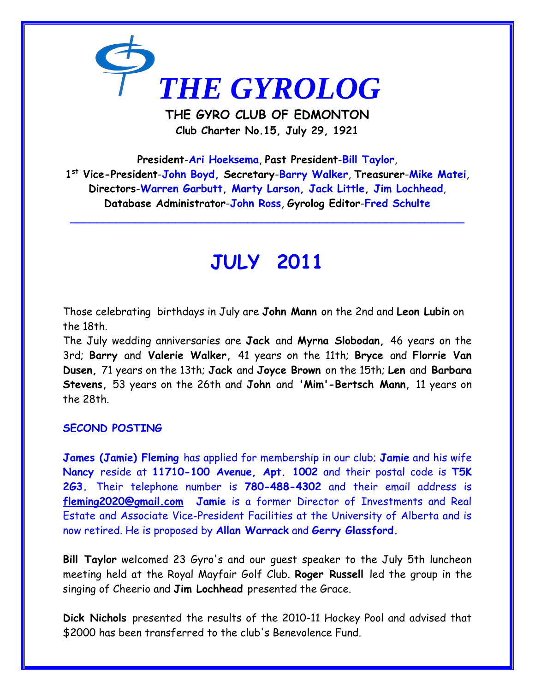

**THE GYRO CLUB OF EDMONTON Club Charter No.15, July 29, 1921**

**President**-**Ari Hoeksema**, **Past President**-**Bill Taylor**, **1 st Vice-President**-**John Boyd, Secretary**-**Barry Walker**, **Treasurer**-**Mike Matei**, **Directors**-**Warren Garbutt, Marty Larson, Jack Little, Jim Lochhead**, **Database Administrator**-**John Ross**, **Gyrolog Editor**-**Fred Schulte**

**\_\_\_\_\_\_\_\_\_\_\_\_\_\_\_\_\_\_\_\_\_\_\_\_\_\_\_\_\_\_\_\_\_\_\_\_\_\_\_\_\_\_\_\_\_\_\_\_\_\_\_\_\_\_\_\_\_\_\_\_**

# **JULY 2011**

Those celebrating birthdays in July are **John Mann** on the 2nd and **Leon Lubin** on the 18th.

The July wedding anniversaries are **Jack** and **Myrna Slobodan,** 46 years on the 3rd; **Barry** and **Valerie Walker,** 41 years on the 11th; **Bryce** and **Florrie Van Dusen,** 71 years on the 13th; **Jack** and **Joyce Brown** on the 15th; **Len** and **Barbara Stevens,** 53 years on the 26th and **John** and **'Mim'-Bertsch Mann,** 11 years on the 28th.

## **SECOND POSTING**

**James (Jamie) Fleming** has applied for membership in our club; **Jamie** and his wife **Nancy** reside at **11710-100 Avenue, Apt. 1002** and their postal code is **T5K 2G3.** Their telephone number is **780-488-4302** and their email address is **<fleming2020@gmail.com> Jamie** is a former Director of Investments and Real Estate and Associate Vice-President Facilities at the University of Alberta and is now retired. He is proposed by **Allan Warrack** and **Gerry Glassford.**

**Bill Taylor** welcomed 23 Gyro's and our guest speaker to the July 5th luncheon meeting held at the Royal Mayfair Golf Club. **Roger Russell** led the group in the singing of Cheerio and **Jim Lochhead** presented the Grace.

**Dick Nichols** presented the results of the 2010-11 Hockey Pool and advised that \$2000 has been transferred to the club's Benevolence Fund.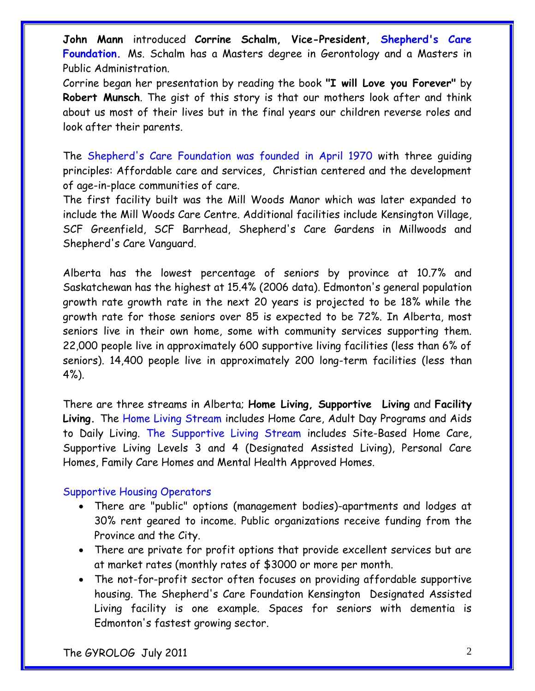**John Mann** introduced **Corrine Schalm, Vice-President, Shepherd's Care Foundation.** Ms. Schalm has a Masters degree in Gerontology and a Masters in Public Administration.

Corrine began her presentation by reading the book **"I will Love you Forever"** by **Robert Munsch**. The gist of this story is that our mothers look after and think about us most of their lives but in the final years our children reverse roles and look after their parents.

The Shepherd's Care Foundation was founded in April 1970 with three guiding principles: Affordable care and services, Christian centered and the development of age-in-place communities of care.

The first facility built was the Mill Woods Manor which was later expanded to include the Mill Woods Care Centre. Additional facilities include Kensington Village, SCF Greenfield, SCF Barrhead, Shepherd's Care Gardens in Millwoods and Shepherd's Care Vanguard.

Alberta has the lowest percentage of seniors by province at 10.7% and Saskatchewan has the highest at 15.4% (2006 data). Edmonton's general population growth rate growth rate in the next 20 years is projected to be 18% while the growth rate for those seniors over 85 is expected to be 72%. In Alberta, most seniors live in their own home, some with community services supporting them. 22,000 people live in approximately 600 supportive living facilities (less than 6% of seniors). 14,400 people live in approximately 200 long-term facilities (less than 4%).

There are three streams in Alberta; **Home Living, Supportive Living** and **Facility Living.** The Home Living Stream includes Home Care, Adult Day Programs and Aids to Daily Living. The Supportive Living Stream includes Site-Based Home Care, Supportive Living Levels 3 and 4 (Designated Assisted Living), Personal Care Homes, Family Care Homes and Mental Health Approved Homes.

## Supportive Housing Operators

- There are "public" options (management bodies)-apartments and lodges at 30% rent geared to income. Public organizations receive funding from the Province and the City.
- There are private for profit options that provide excellent services but are at market rates (monthly rates of \$3000 or more per month.
- The not-for-profit sector often focuses on providing affordable supportive housing. The Shepherd's Care Foundation Kensington Designated Assisted Living facility is one example. Spaces for seniors with dementia is Edmonton's fastest growing sector.

The GYROLOG July 2011 2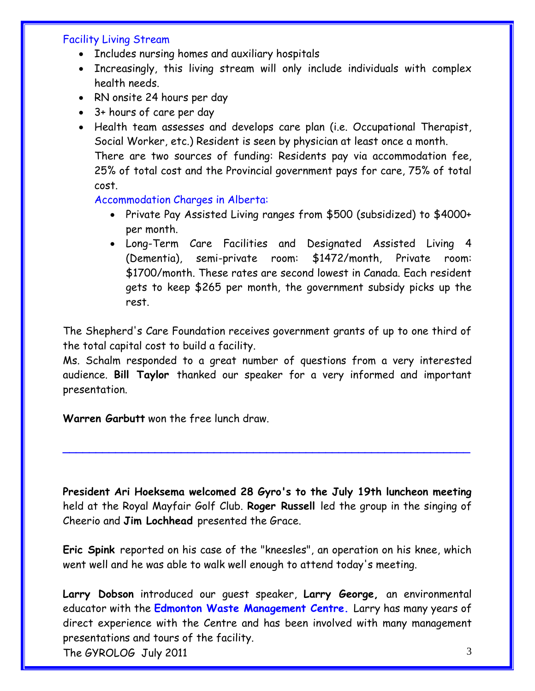## Facility Living Stream

- Includes nursing homes and auxiliary hospitals
- Increasingly, this living stream will only include individuals with complex health needs.
- RN onsite 24 hours per day
- 3+ hours of care per day
- Health team assesses and develops care plan (i.e. Occupational Therapist, Social Worker, etc.) Resident is seen by physician at least once a month. There are two sources of funding: Residents pay via accommodation fee, 25% of total cost and the Provincial government pays for care, 75% of total cost.

#### Accommodation Charges in Alberta:

- Private Pay Assisted Living ranges from \$500 (subsidized) to \$4000+ per month.
- Long-Term Care Facilities and Designated Assisted Living 4 (Dementia), semi-private room: \$1472/month, Private room: \$1700/month. These rates are second lowest in Canada. Each resident gets to keep \$265 per month, the government subsidy picks up the rest.

The Shepherd's Care Foundation receives government grants of up to one third of the total capital cost to build a facility.

Ms. Schalm responded to a great number of questions from a very interested audience. **Bill Taylor** thanked our speaker for a very informed and important presentation.

**Warren Garbutt** won the free lunch draw.

**President Ari Hoeksema welcomed 28 Gyro's to the July 19th luncheon meeting** held at the Royal Mayfair Golf Club. **Roger Russell** led the group in the singing of Cheerio and **Jim Lochhead** presented the Grace.

**\_\_\_\_\_\_\_\_\_\_\_\_\_\_\_\_\_\_\_\_\_\_\_\_\_\_\_\_\_\_\_\_\_\_\_\_\_\_\_\_\_\_\_\_\_\_\_\_\_\_\_\_\_\_\_\_\_\_\_\_\_\_**

**Eric Spink** reported on his case of the "kneesles", an operation on his knee, which went well and he was able to walk well enough to attend today's meeting.

**Larry Dobson** introduced our guest speaker, **Larry George,** an environmental educator with the **Edmonton Waste Management Centre.** Larry has many years of direct experience with the Centre and has been involved with many management presentations and tours of the facility.

The GYROLOG July 2011 3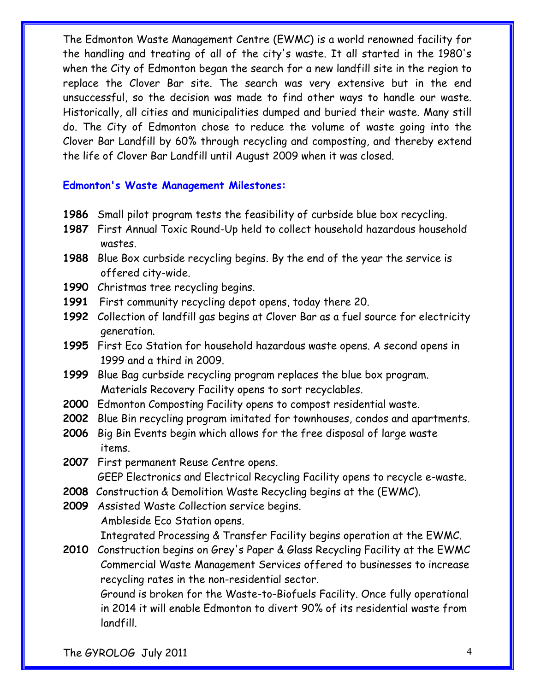The Edmonton Waste Management Centre (EWMC) is a world renowned facility for the handling and treating of all of the city's waste. It all started in the 1980's when the City of Edmonton began the search for a new landfill site in the region to replace the Clover Bar site. The search was very extensive but in the end unsuccessful, so the decision was made to find other ways to handle our waste. Historically, all cities and municipalities dumped and buried their waste. Many still do. The City of Edmonton chose to reduce the volume of waste going into the Clover Bar Landfill by 60% through recycling and composting, and thereby extend the life of Clover Bar Landfill until August 2009 when it was closed.

#### **Edmonton's Waste Management Milestones:**

- **1986** Small pilot program tests the feasibility of curbside blue box recycling.
- **1987** First Annual Toxic Round-Up held to collect household hazardous household wastes.
- **1988** Blue Box curbside recycling begins. By the end of the year the service is offered city-wide.
- **1990** Christmas tree recycling begins.
- **1991** First community recycling depot opens, today there 20.
- **1992** Collection of landfill gas begins at Clover Bar as a fuel source for electricity generation.
- **1995** First Eco Station for household hazardous waste opens. A second opens in 1999 and a third in 2009.
- **1999** Blue Bag curbside recycling program replaces the blue box program. Materials Recovery Facility opens to sort recyclables.
- **2000** Edmonton Composting Facility opens to compost residential waste.
- **2002** Blue Bin recycling program imitated for townhouses, condos and apartments.
- **2006** Big Bin Events begin which allows for the free disposal of large waste items.
- **2007** First permanent Reuse Centre opens. GEEP Electronics and Electrical Recycling Facility opens to recycle e-waste.
- **2008** Construction & Demolition Waste Recycling begins at the (EWMC).
- **2009** Assisted Waste Collection service begins. Ambleside Eco Station opens.

Integrated Processing & Transfer Facility begins operation at the EWMC.

**2010** Construction begins on Grey's Paper & Glass Recycling Facility at the EWMC Commercial Waste Management Services offered to businesses to increase recycling rates in the non-residential sector.

 Ground is broken for the Waste-to-Biofuels Facility. Once fully operational in 2014 it will enable Edmonton to divert 90% of its residential waste from landfill.

The GYROLOG July 2011 4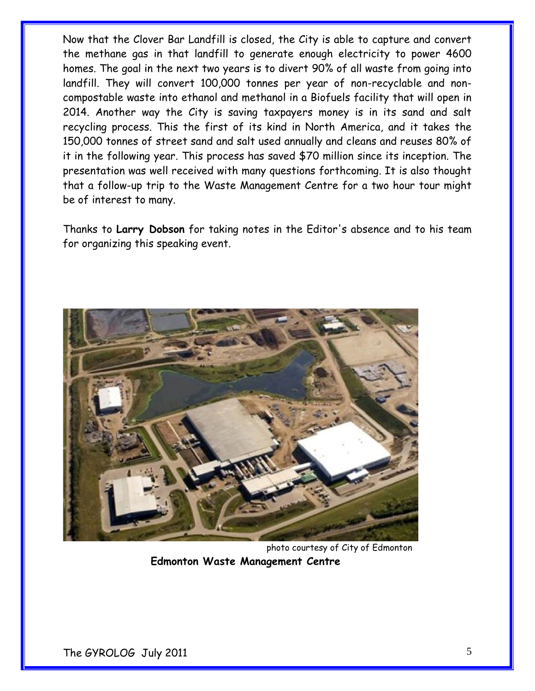Now that the Clover Bar Landfill is closed, the City is able to capture and convert the methane gas in that landfill to generate enough electricity to power 4600 homes. The goal in the next two years is to divert 90% of all waste from going into landfill. They will convert 100,000 tonnes per year of non-recyclable and noncompostable waste into ethanol and methanol in a Biofuels facility that will open in 2014. Another way the City is saving taxpayers money is in its sand and salt recycling process. This the first of its kind in North America, and it takes the 150,000 tonnes of street sand and salt used annually and cleans and reuses 80% of it in the following year. This process has saved \$70 million since its inception. The presentation was well received with many questions forthcoming. It is also thought that a follow-up trip to the Waste Management Centre for a two hour tour might be of interest to many.

Thanks to **Larry Dobson** for taking notes in the Editor's absence and to his team for organizing this speaking event.



 photo courtesy of City of Edmonton **Edmonton Waste Management Centre**